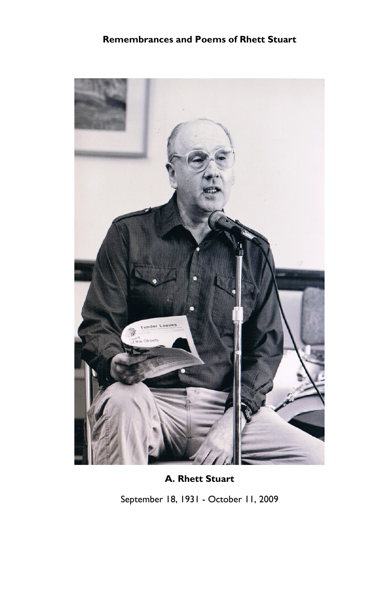

A. Rhett Stuart

September 18, 1931 - October 11, 2009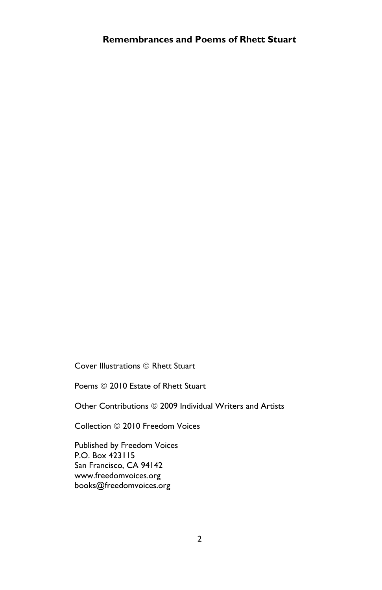Cover Illustrations © Rhett Stuart

Poems © 2010 Estate of Rhett Stuart

Other Contributions © 2009 Individual Writers and Artists

Collection © 2010 Freedom Voices

Published by Freedom Voices P.O. Box 423115 San Francisco, CA 94142 www.freedomvoices.org books@freedomvoices.org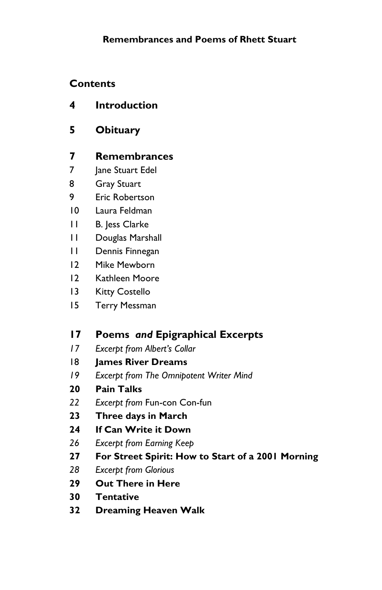# **Contents**

- 4 Introduction
- 5 Obituary

# 7 Remembrances

- 7 **Jane Stuart Edel**
- 8 Gray Stuart
- 9 Eric Robertson
- 10 Laura Feldman
- 11 B. Jess Clarke
- 11 Douglas Marshall
- 11 Dennis Finnegan
- 12 Mike Mewborn
- 12 Kathleen Moore
- 13 Kitty Costello
- 15 Terry Messman

# 17 Poems and Epigraphical Excerpts

- 17 Excerpt from Albert's Collar
- 18 James River Dreams
- 19 Excerpt from The Omnipotent Writer Mind
- 20 Pain Talks
- 22 Excerpt from Fun-con Con-fun
- 23 Three days in March
- 24 If Can Write it Down
- 26 Excerpt from Earning Keep
- 27 For Street Spirit: How to Start of a 2001 Morning
- 28 Excerpt from Glorious
- 29 Out There in Here
- 30 Tentative
- 32 Dreaming Heaven Walk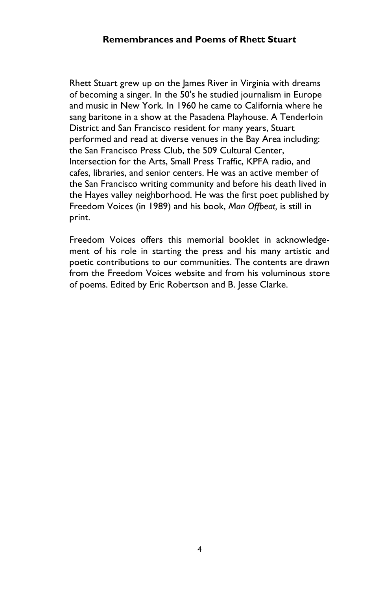Rhett Stuart grew up on the James River in Virginia with dreams of becoming a singer. In the 50's he studied journalism in Europe and music in New York. In 1960 he came to California where he sang baritone in a show at the Pasadena Playhouse. A Tenderloin District and San Francisco resident for many years, Stuart performed and read at diverse venues in the Bay Area including: the San Francisco Press Club, the 509 Cultural Center, Intersection for the Arts, Small Press Traffic, KPFA radio, and cafes, libraries, and senior centers. He was an active member of the San Francisco writing community and before his death lived in the Hayes valley neighborhood. He was the first poet published by Freedom Voices (in 1989) and his book, Man Offbeat, is still in print.

Freedom Voices offers this memorial booklet in acknowledgement of his role in starting the press and his many artistic and poetic contributions to our communities. The contents are drawn from the Freedom Voices website and from his voluminous store of poems. Edited by Eric Robertson and B. Jesse Clarke.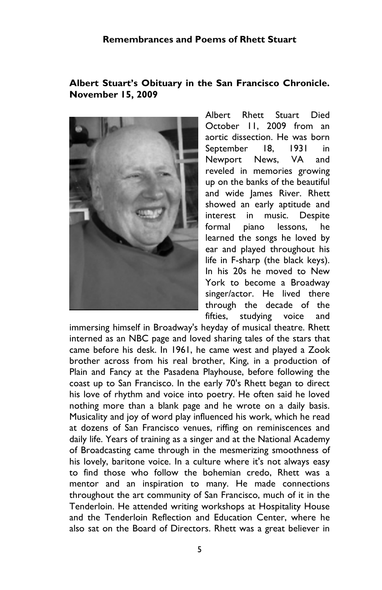#### Albert Stuart's Obituary in the San Francisco Chronicle. November 15, 2009



Albert Rhett Stuart Died October 11, 2009 from an aortic dissection. He was born September 18, 1931 in Newport News, VA and reveled in memories growing up on the banks of the beautiful and wide James River. Rhett showed an early aptitude and interest in music. Despite formal piano lessons, he learned the songs he loved by ear and played throughout his life in F-sharp (the black keys). In his 20s he moved to New York to become a Broadway singer/actor. He lived there through the decade of the fifties, studying voice and

immersing himself in Broadway's heyday of musical theatre. Rhett interned as an NBC page and loved sharing tales of the stars that came before his desk. In 1961, he came west and played a Zook brother across from his real brother, King, in a production of Plain and Fancy at the Pasadena Playhouse, before following the coast up to San Francisco. In the early 70's Rhett began to direct his love of rhythm and voice into poetry. He often said he loved nothing more than a blank page and he wrote on a daily basis. Musicality and joy of word play influenced his work, which he read at dozens of San Francisco venues, riffing on reminiscences and daily life. Years of training as a singer and at the National Academy of Broadcasting came through in the mesmerizing smoothness of his lovely, baritone voice. In a culture where it's not always easy to find those who follow the bohemian credo, Rhett was a mentor and an inspiration to many. He made connections throughout the art community of San Francisco, much of it in the Tenderloin. He attended writing workshops at Hospitality House and the Tenderloin Reflection and Education Center, where he also sat on the Board of Directors. Rhett was a great believer in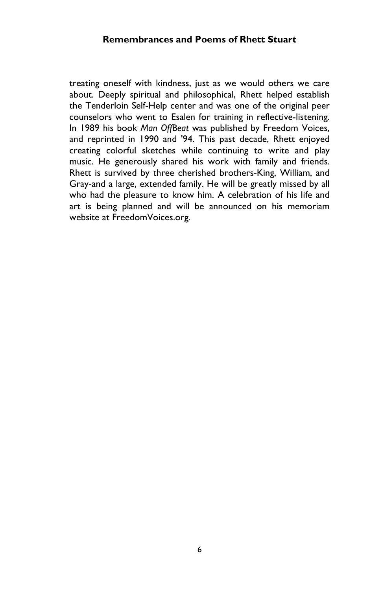treating oneself with kindness, just as we would others we care about. Deeply spiritual and philosophical, Rhett helped establish the Tenderloin Self-Help center and was one of the original peer counselors who went to Esalen for training in reflective-listening. In 1989 his book Man OffBeat was published by Freedom Voices, and reprinted in 1990 and '94. This past decade, Rhett enjoyed creating colorful sketches while continuing to write and play music. He generously shared his work with family and friends. Rhett is survived by three cherished brothers-King, William, and Gray-and a large, extended family. He will be greatly missed by all who had the pleasure to know him. A celebration of his life and art is being planned and will be announced on his memoriam website at FreedomVoices.org.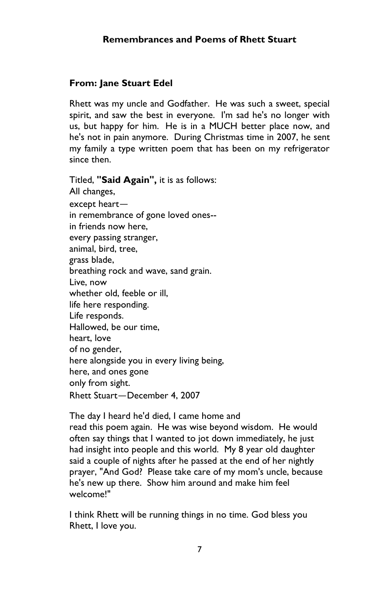## From: Jane Stuart Edel

Rhett was my uncle and Godfather. He was such a sweet, special spirit, and saw the best in everyone. I'm sad he's no longer with us, but happy for him. He is in a MUCH better place now, and he's not in pain anymore. During Christmas time in 2007, he sent my family a type written poem that has been on my refrigerator since then.

Titled, "Said Again", it is as follows: All changes, except heart in remembrance of gone loved ones- in friends now here, every passing stranger, animal, bird, tree, grass blade, breathing rock and wave, sand grain. Live, now whether old, feeble or ill, life here responding. Life responds. Hallowed, be our time, heart, love of no gender, here alongside you in every living being, here, and ones gone only from sight. Rhett Stuart-December 4, 2007

The day I heard he'd died, I came home and read this poem again. He was wise beyond wisdom. He would often say things that I wanted to jot down immediately, he just had insight into people and this world. My 8 year old daughter said a couple of nights after he passed at the end of her nightly prayer, "And God? Please take care of my mom's uncle, because he's new up there. Show him around and make him feel welcome!"

I think Rhett will be running things in no time. God bless you Rhett, I love you.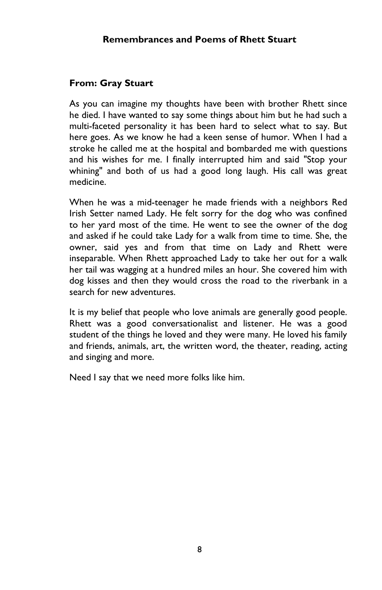# From: Gray Stuart

As you can imagine my thoughts have been with brother Rhett since he died. I have wanted to say some things about him but he had such a multi-faceted personality it has been hard to select what to say. But here goes. As we know he had a keen sense of humor. When I had a stroke he called me at the hospital and bombarded me with questions and his wishes for me. I finally interrupted him and said "Stop your whining" and both of us had a good long laugh. His call was great medicine.

When he was a mid-teenager he made friends with a neighbors Red Irish Setter named Lady. He felt sorry for the dog who was confined to her yard most of the time. He went to see the owner of the dog and asked if he could take Lady for a walk from time to time. She, the owner, said yes and from that time on Lady and Rhett were inseparable. When Rhett approached Lady to take her out for a walk her tail was wagging at a hundred miles an hour. She covered him with dog kisses and then they would cross the road to the riverbank in a search for new adventures.

It is my belief that people who love animals are generally good people. Rhett was a good conversationalist and listener. He was a good student of the things he loved and they were many. He loved his family and friends, animals, art, the written word, the theater, reading, acting and singing and more.

Need I say that we need more folks like him.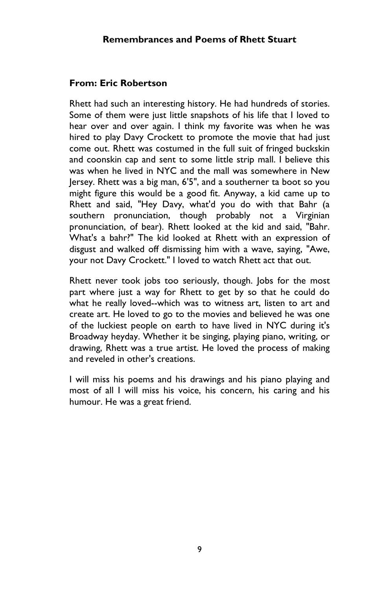#### From: Eric Robertson

Rhett had such an interesting history. He had hundreds of stories. Some of them were just little snapshots of his life that I loved to hear over and over again. I think my favorite was when he was hired to play Davy Crockett to promote the movie that had just come out. Rhett was costumed in the full suit of fringed buckskin and coonskin cap and sent to some little strip mall. I believe this was when he lived in NYC and the mall was somewhere in New Jersey. Rhett was a big man, 6'5", and a southerner ta boot so you might figure this would be a good fit. Anyway, a kid came up to Rhett and said, "Hey Davy, what'd you do with that Bahr (a southern pronunciation, though probably not a Virginian pronunciation, of bear). Rhett looked at the kid and said, "Bahr. What's a bahr?" The kid looked at Rhett with an expression of disgust and walked off dismissing him with a wave, saying, "Awe, your not Davy Crockett." I loved to watch Rhett act that out.

Rhett never took jobs too seriously, though. Jobs for the most part where just a way for Rhett to get by so that he could do what he really loved--which was to witness art, listen to art and create art. He loved to go to the movies and believed he was one of the luckiest people on earth to have lived in NYC during it's Broadway heyday. Whether it be singing, playing piano, writing, or drawing, Rhett was a true artist. He loved the process of making and reveled in other's creations.

I will miss his poems and his drawings and his piano playing and most of all I will miss his voice, his concern, his caring and his humour. He was a great friend.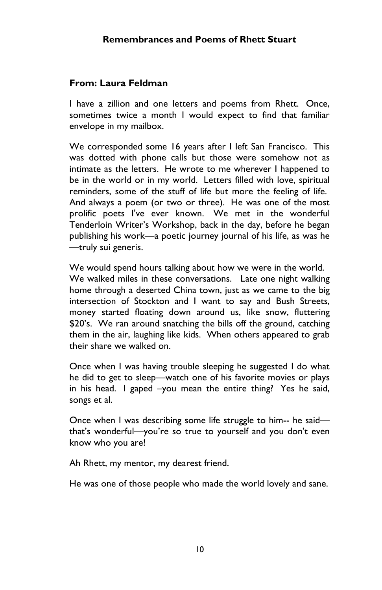### From: Laura Feldman

I have a zillion and one letters and poems from Rhett. Once, sometimes twice a month I would expect to find that familiar envelope in my mailbox.

We corresponded some 16 years after I left San Francisco. This was dotted with phone calls but those were somehow not as intimate as the letters. He wrote to me wherever I happened to be in the world or in my world. Letters filled with love, spiritual reminders, some of the stuff of life but more the feeling of life. And always a poem (or two or three). He was one of the most prolific poets I've ever known. We met in the wonderful Tenderloin Writer's Workshop, back in the day, before he began publishing his work—a poetic journey journal of his life, as was he —truly sui generis.

We would spend hours talking about how we were in the world. We walked miles in these conversations. Late one night walking home through a deserted China town, just as we came to the big intersection of Stockton and I want to say and Bush Streets, money started floating down around us, like snow, fluttering \$20's. We ran around snatching the bills off the ground, catching them in the air, laughing like kids. When others appeared to grab their share we walked on.

Once when I was having trouble sleeping he suggested I do what he did to get to sleep—watch one of his favorite movies or plays in his head. I gaped –you mean the entire thing? Yes he said, songs et al.

Once when I was describing some life struggle to him-- he said that's wonderful—you're so true to yourself and you don't even know who you are!

Ah Rhett, my mentor, my dearest friend.

He was one of those people who made the world lovely and sane.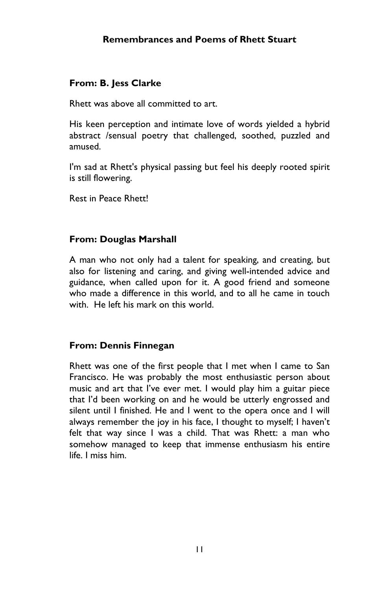## From: B. Jess Clarke

Rhett was above all committed to art.

His keen perception and intimate love of words yielded a hybrid abstract /sensual poetry that challenged, soothed, puzzled and amused.

I'm sad at Rhett's physical passing but feel his deeply rooted spirit is still flowering.

Rest in Peace Rhett!

### From: Douglas Marshall

A man who not only had a talent for speaking, and creating, but also for listening and caring, and giving well-intended advice and guidance, when called upon for it. A good friend and someone who made a difference in this world, and to all he came in touch with. He left his mark on this world.

#### From: Dennis Finnegan

Rhett was one of the first people that I met when I came to San Francisco. He was probably the most enthusiastic person about music and art that I've ever met. I would play him a guitar piece that I'd been working on and he would be utterly engrossed and silent until I finished. He and I went to the opera once and I will always remember the joy in his face, I thought to myself; I haven't felt that way since I was a child. That was Rhett: a man who somehow managed to keep that immense enthusiasm his entire life. I miss him.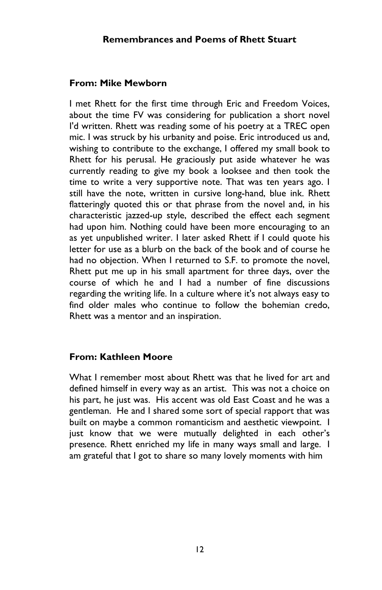#### From: Mike Mewborn

I met Rhett for the first time through Eric and Freedom Voices, about the time FV was considering for publication a short novel I'd written. Rhett was reading some of his poetry at a TREC open mic. I was struck by his urbanity and poise. Eric introduced us and, wishing to contribute to the exchange, I offered my small book to Rhett for his perusal. He graciously put aside whatever he was currently reading to give my book a looksee and then took the time to write a very supportive note. That was ten years ago. I still have the note, written in cursive long-hand, blue ink. Rhett flatteringly quoted this or that phrase from the novel and, in his characteristic jazzed-up style, described the effect each segment had upon him. Nothing could have been more encouraging to an as yet unpublished writer. I later asked Rhett if I could quote his letter for use as a blurb on the back of the book and of course he had no obiection. When I returned to S.F. to promote the novel, Rhett put me up in his small apartment for three days, over the course of which he and I had a number of fine discussions regarding the writing life. In a culture where it's not always easy to find older males who continue to follow the bohemian credo, Rhett was a mentor and an inspiration.

#### From: Kathleen Moore

What I remember most about Rhett was that he lived for art and defined himself in every way as an artist. This was not a choice on his part, he just was. His accent was old East Coast and he was a gentleman. He and I shared some sort of special rapport that was built on maybe a common romanticism and aesthetic viewpoint. I just know that we were mutually delighted in each other's presence. Rhett enriched my life in many ways small and large. I am grateful that I got to share so many lovely moments with him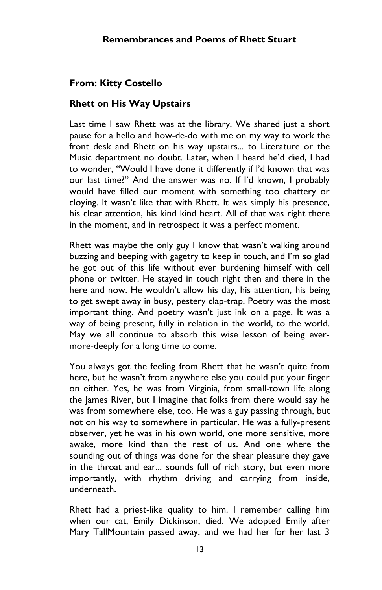# From: Kitty Costello

## Rhett on His Way Upstairs

Last time I saw Rhett was at the library. We shared just a short pause for a hello and how-de-do with me on my way to work the front desk and Rhett on his way upstairs... to Literature or the Music department no doubt. Later, when I heard he'd died, I had to wonder, "Would I have done it differently if I'd known that was our last time?" And the answer was no. If I'd known, I probably would have filled our moment with something too chattery or cloying. It wasn't like that with Rhett. It was simply his presence, his clear attention, his kind kind heart. All of that was right there in the moment, and in retrospect it was a perfect moment.

Rhett was maybe the only guy I know that wasn't walking around buzzing and beeping with gagetry to keep in touch, and I'm so glad he got out of this life without ever burdening himself with cell phone or twitter. He stayed in touch right then and there in the here and now. He wouldn't allow his day, his attention, his being to get swept away in busy, pestery clap-trap. Poetry was the most important thing. And poetry wasn't just ink on a page. It was a way of being present, fully in relation in the world, to the world. May we all continue to absorb this wise lesson of being evermore-deeply for a long time to come.

You always got the feeling from Rhett that he wasn't quite from here, but he wasn't from anywhere else you could put your finger on either. Yes, he was from Virginia, from small-town life along the James River, but I imagine that folks from there would say he was from somewhere else, too. He was a guy passing through, but not on his way to somewhere in particular. He was a fully-present observer, yet he was in his own world, one more sensitive, more awake, more kind than the rest of us. And one where the sounding out of things was done for the shear pleasure they gave in the throat and ear... sounds full of rich story, but even more importantly, with rhythm driving and carrying from inside, underneath.

Rhett had a priest-like quality to him. I remember calling him when our cat, Emily Dickinson, died. We adopted Emily after Mary TallMountain passed away, and we had her for her last 3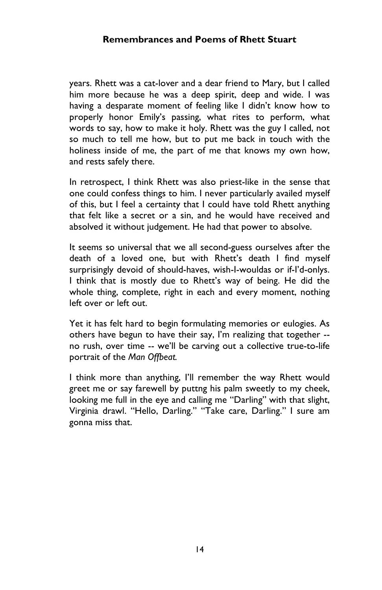years. Rhett was a cat-lover and a dear friend to Mary, but I called him more because he was a deep spirit, deep and wide. I was having a desparate moment of feeling like I didn't know how to properly honor Emily's passing, what rites to perform, what words to say, how to make it holy. Rhett was the guy I called, not so much to tell me how, but to put me back in touch with the holiness inside of me, the part of me that knows my own how, and rests safely there.

In retrospect, I think Rhett was also priest-like in the sense that one could confess things to him. I never particularly availed myself of this, but I feel a certainty that I could have told Rhett anything that felt like a secret or a sin, and he would have received and absolved it without judgement. He had that power to absolve.

It seems so universal that we all second-guess ourselves after the death of a loved one, but with Rhett's death I find myself surprisingly devoid of should-haves, wish-I-wouldas or if-I'd-onlys. I think that is mostly due to Rhett's way of being. He did the whole thing, complete, right in each and every moment, nothing left over or left out.

Yet it has felt hard to begin formulating memories or eulogies. As others have begun to have their say, I'm realizing that together - no rush, over time -- we'll be carving out a collective true-to-life portrait of the Man Offbeat.

I think more than anything, I'll remember the way Rhett would greet me or say farewell by puttng his palm sweetly to my cheek, looking me full in the eye and calling me "Darling" with that slight, Virginia drawl. "Hello, Darling." "Take care, Darling." I sure am gonna miss that.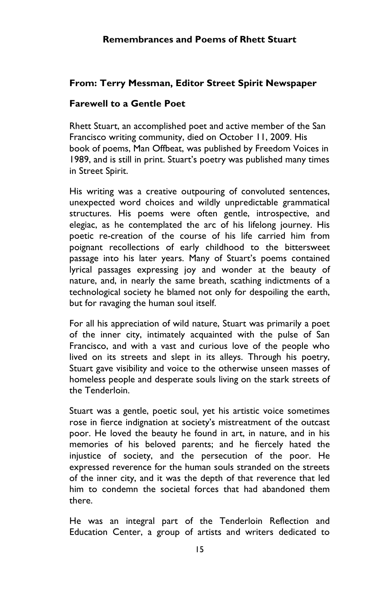# From: Terry Messman, Editor Street Spirit Newspaper

#### Farewell to a Gentle Poet

Rhett Stuart, an accomplished poet and active member of the San Francisco writing community, died on October 11, 2009. His book of poems, Man Offbeat, was published by Freedom Voices in 1989, and is still in print. Stuart's poetry was published many times in Street Spirit.

His writing was a creative outpouring of convoluted sentences, unexpected word choices and wildly unpredictable grammatical structures. His poems were often gentle, introspective, and elegiac, as he contemplated the arc of his lifelong journey. His poetic re-creation of the course of his life carried him from poignant recollections of early childhood to the bittersweet passage into his later years. Many of Stuart's poems contained lyrical passages expressing joy and wonder at the beauty of nature, and, in nearly the same breath, scathing indictments of a technological society he blamed not only for despoiling the earth, but for ravaging the human soul itself.

For all his appreciation of wild nature, Stuart was primarily a poet of the inner city, intimately acquainted with the pulse of San Francisco, and with a vast and curious love of the people who lived on its streets and slept in its alleys. Through his poetry, Stuart gave visibility and voice to the otherwise unseen masses of homeless people and desperate souls living on the stark streets of the Tenderloin.

Stuart was a gentle, poetic soul, yet his artistic voice sometimes rose in fierce indignation at society's mistreatment of the outcast poor. He loved the beauty he found in art, in nature, and in his memories of his beloved parents; and he fiercely hated the injustice of society, and the persecution of the poor. He expressed reverence for the human souls stranded on the streets of the inner city, and it was the depth of that reverence that led him to condemn the societal forces that had abandoned them there.

He was an integral part of the Tenderloin Reflection and Education Center, a group of artists and writers dedicated to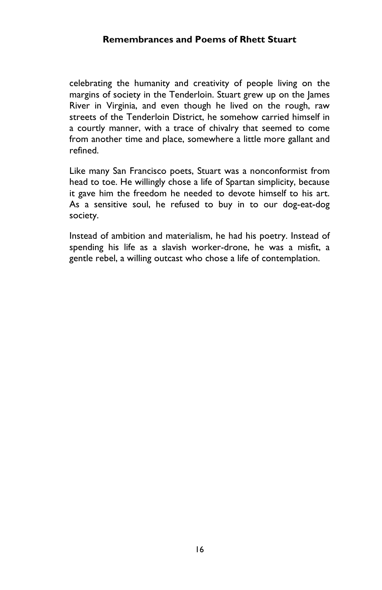celebrating the humanity and creativity of people living on the margins of society in the Tenderloin. Stuart grew up on the James River in Virginia, and even though he lived on the rough, raw streets of the Tenderloin District, he somehow carried himself in a courtly manner, with a trace of chivalry that seemed to come from another time and place, somewhere a little more gallant and refined.

Like many San Francisco poets, Stuart was a nonconformist from head to toe. He willingly chose a life of Spartan simplicity, because it gave him the freedom he needed to devote himself to his art. As a sensitive soul, he refused to buy in to our dog-eat-dog society.

Instead of ambition and materialism, he had his poetry. Instead of spending his life as a slavish worker-drone, he was a misfit, a gentle rebel, a willing outcast who chose a life of contemplation.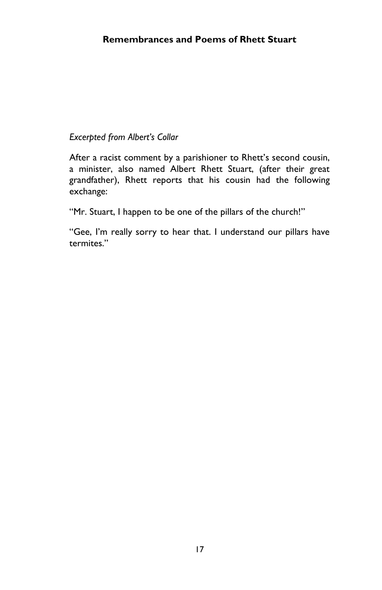# Excerpted from Albert's Collar

After a racist comment by a parishioner to Rhett's second cousin, a minister, also named Albert Rhett Stuart, (after their great grandfather), Rhett reports that his cousin had the following exchange:

"Mr. Stuart, I happen to be one of the pillars of the church!"

"Gee, I'm really sorry to hear that. I understand our pillars have termites."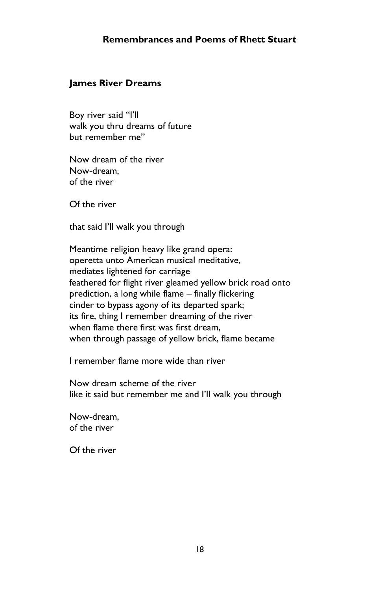#### James River Dreams

Boy river said "I'll walk you thru dreams of future but remember me"

Now dream of the river Now-dream, of the river

Of the river

that said I'll walk you through

Meantime religion heavy like grand opera: operetta unto American musical meditative, mediates lightened for carriage feathered for flight river gleamed yellow brick road onto prediction, a long while flame – finally flickering cinder to bypass agony of its departed spark; its fire, thing I remember dreaming of the river when flame there first was first dream, when through passage of yellow brick, flame became

I remember flame more wide than river

Now dream scheme of the river like it said but remember me and I'll walk you through

Now-dream, of the river

Of the river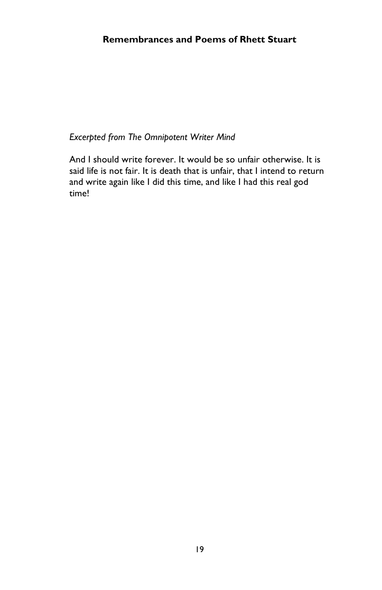Excerpted from The Omnipotent Writer Mind

And I should write forever. It would be so unfair otherwise. It is said life is not fair. It is death that is unfair, that I intend to return and write again like I did this time, and like I had this real god time!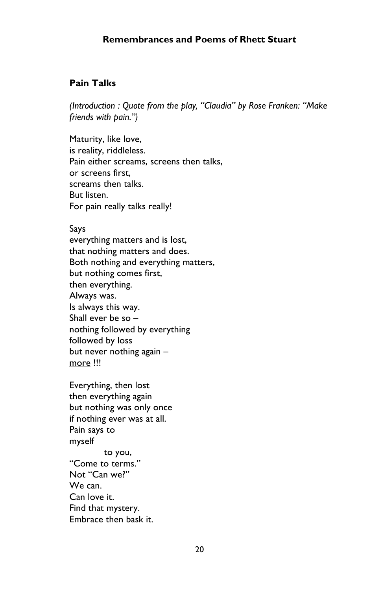### Pain Talks

(Introduction : Quote from the play, "Claudia" by Rose Franken: "Make friends with pain.")

Maturity, like love, is reality, riddleless. Pain either screams, screens then talks, or screens first, screams then talks. But listen. For pain really talks really!

#### Says

everything matters and is lost, that nothing matters and does. Both nothing and everything matters, but nothing comes first, then everything. Always was. Is always this way. Shall ever be so – nothing followed by everything followed by loss but never nothing again – more !!!

Everything, then lost then everything again but nothing was only once if nothing ever was at all. Pain says to myself to you, "Come to terms." Not "Can we?" We can. Can love it.

Find that mystery.

Embrace then bask it.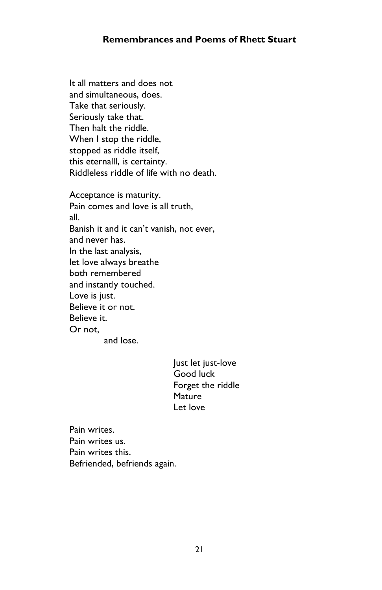It all matters and does not and simultaneous, does. Take that seriously. Seriously take that. Then halt the riddle. When I stop the riddle, stopped as riddle itself, this eternalll, is certainty. Riddleless riddle of life with no death.

Acceptance is maturity. Pain comes and love is all truth, all. Banish it and it can't vanish, not ever, and never has. In the last analysis, let love always breathe both remembered and instantly touched. Love is just. Believe it or not. Believe it. Or not, and lose.

> Just let just-love Good luck Forget the riddle Mature Let love

Pain writes. Pain writes us. Pain writes this. Befriended, befriends again.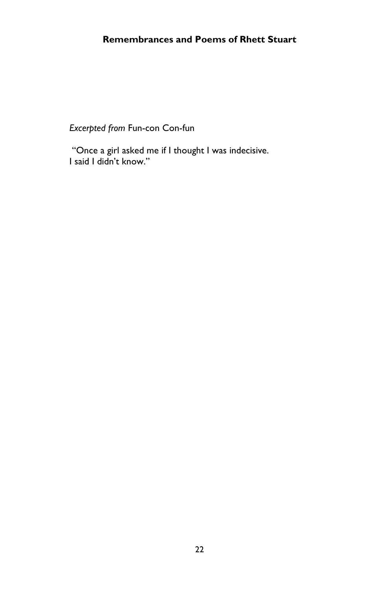Excerpted from Fun-con Con-fun

 "Once a girl asked me if I thought I was indecisive. I said I didn't know."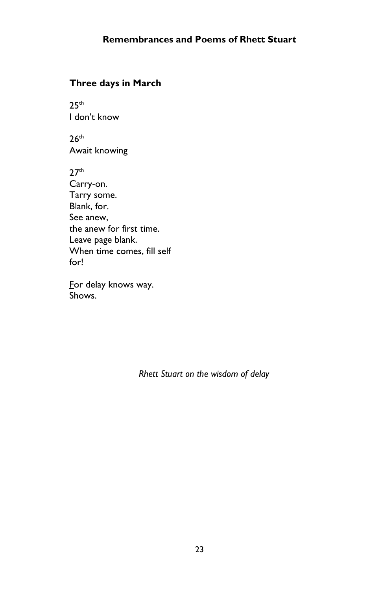# Three days in March

 $25<sup>th</sup>$ I don't know

 $26<sup>th</sup>$ Await knowing

 $27<sup>th</sup>$ Carry-on. Tarry some. Blank, for. See anew, the anew for first time. Leave page blank. When time comes, fill self for!

For delay knows way. Shows.

Rhett Stuart on the wisdom of delay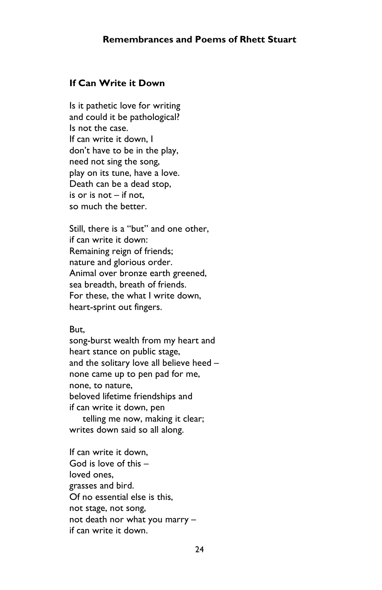#### If Can Write it Down

Is it pathetic love for writing and could it be pathological? Is not the case. If can write it down, I don't have to be in the play, need not sing the song, play on its tune, have a love. Death can be a dead stop, is or is not – if not, so much the better.

Still, there is a "but" and one other, if can write it down: Remaining reign of friends; nature and glorious order. Animal over bronze earth greened, sea breadth, breath of friends. For these, the what I write down, heart-sprint out fingers.

#### But,

song-burst wealth from my heart and heart stance on public stage, and the solitary love all believe heed – none came up to pen pad for me, none, to nature, beloved lifetime friendships and if can write it down, pen telling me now, making it clear;

writes down said so all along.

If can write it down, God is love of this – loved ones, grasses and bird. Of no essential else is this, not stage, not song, not death nor what you marry – if can write it down.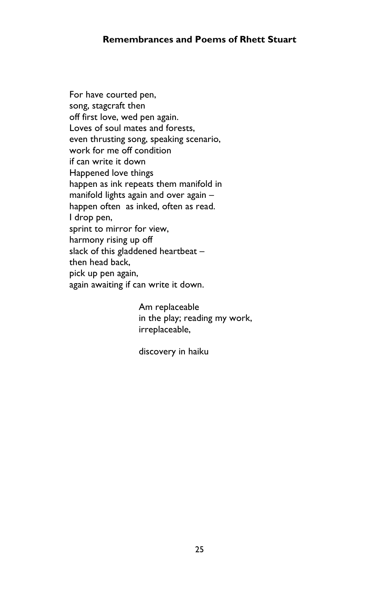For have courted pen, song, stagcraft then off first love, wed pen again. Loves of soul mates and forests, even thrusting song, speaking scenario, work for me off condition if can write it down Happened love things happen as ink repeats them manifold in manifold lights again and over again – happen often as inked, often as read. I drop pen, sprint to mirror for view, harmony rising up off slack of this gladdened heartbeat – then head back, pick up pen again, again awaiting if can write it down.

> Am replaceable in the play; reading my work, irreplaceable,

discovery in haiku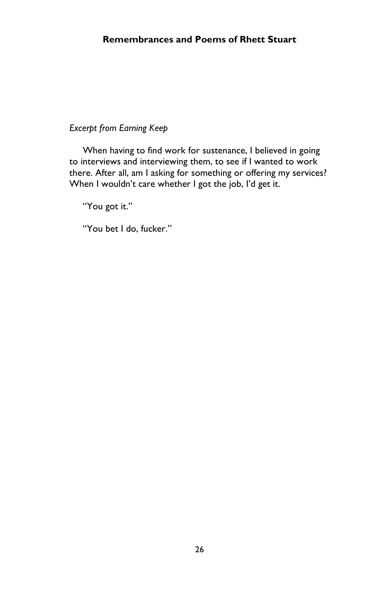## Excerpt from Earning Keep

 When having to find work for sustenance, I believed in going to interviews and interviewing them, to see if I wanted to work there. After all, am I asking for something or offering my services? When I wouldn't care whether I got the job, I'd get it.

"You got it."

"You bet I do, fucker."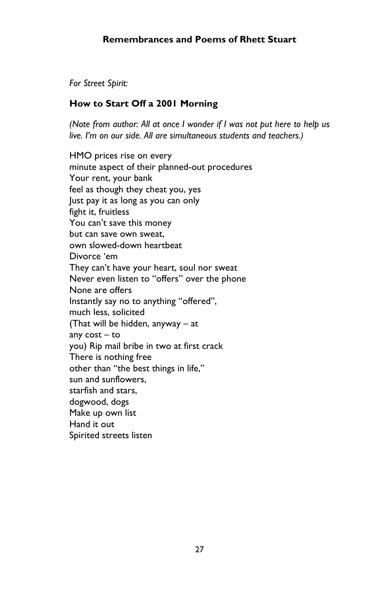For Street Spirit:

## How to Start Off a 2001 Morning

(Note from author: All at once I wonder if I was not put here to help us live. I'm on our side. All are simultaneous students and teachers.)

HMO prices rise on every minute aspect of their planned-out procedures Your rent, your bank feel as though they cheat you, yes Just pay it as long as you can only fight it, fruitless You can't save this money but can save own sweat, own slowed-down heartbeat Divorce 'em They can't have your heart, soul nor sweat Never even listen to "offers" over the phone None are offers Instantly say no to anything "offered", much less, solicited (That will be hidden, anyway – at any cost – to you) Rip mail bribe in two at first crack There is nothing free other than "the best things in life," sun and sunflowers, starfish and stars, dogwood, dogs Make up own list Hand it out Spirited streets listen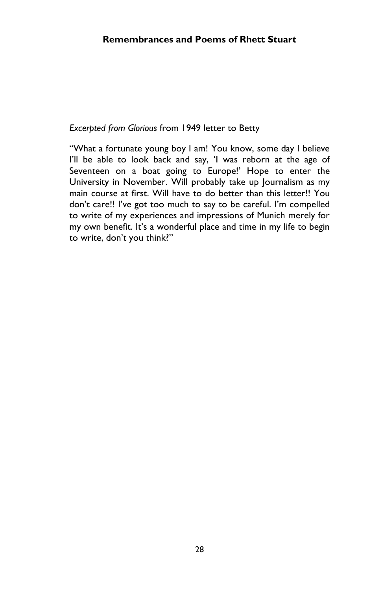#### Excerpted from Glorious from 1949 letter to Betty

"What a fortunate young boy I am! You know, some day I believe I'll be able to look back and say, 'I was reborn at the age of Seventeen on a boat going to Europe!' Hope to enter the University in November. Will probably take up Journalism as my main course at first. Will have to do better than this letter!! You don't care!! I've got too much to say to be careful. I'm compelled to write of my experiences and impressions of Munich merely for my own benefit. It's a wonderful place and time in my life to begin to write, don't you think?"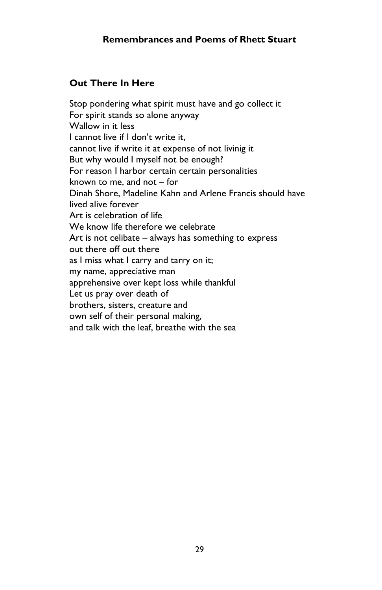# Out There In Here

Stop pondering what spirit must have and go collect it For spirit stands so alone anyway Wallow in it less I cannot live if I don't write it, cannot live if write it at expense of not livinig it But why would I myself not be enough? For reason I harbor certain certain personalities known to me, and not – for Dinah Shore, Madeline Kahn and Arlene Francis should have lived alive forever Art is celebration of life We know life therefore we celebrate Art is not celibate – always has something to express out there off out there as I miss what I carry and tarry on it; my name, appreciative man apprehensive over kept loss while thankful Let us pray over death of brothers, sisters, creature and own self of their personal making, and talk with the leaf, breathe with the sea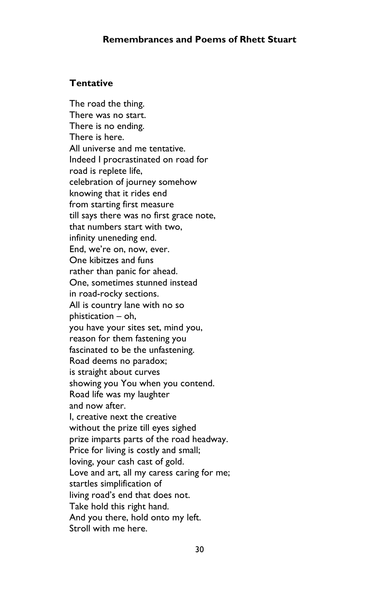### **Tentative**

The road the thing. There was no start. There is no ending. There is here. All universe and me tentative. Indeed I procrastinated on road for road is replete life, celebration of journey somehow knowing that it rides end from starting first measure till says there was no first grace note, that numbers start with two, infinity uneneding end. End, we're on, now, ever. One kibitzes and funs rather than panic for ahead. One, sometimes stunned instead in road-rocky sections. All is country lane with no so phistication – oh, you have your sites set, mind you, reason for them fastening you fascinated to be the unfastening. Road deems no paradox; is straight about curves showing you You when you contend. Road life was my laughter and now after. I, creative next the creative without the prize till eyes sighed prize imparts parts of the road headway. Price for living is costly and small; loving, your cash cast of gold. Love and art, all my caress caring for me; startles simplification of living road's end that does not. Take hold this right hand. And you there, hold onto my left. Stroll with me here.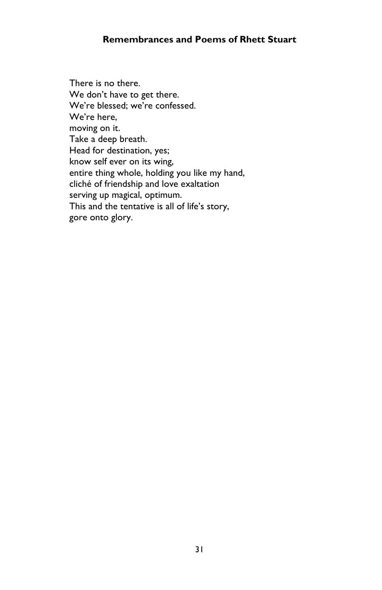There is no there. We don't have to get there. We're blessed; we're confessed. We're here, moving on it. Take a deep breath. Head for destination, yes; know self ever on its wing, entire thing whole, holding you like my hand, cliché of friendship and love exaltation serving up magical, optimum. This and the tentative is all of life's story, gore onto glory.